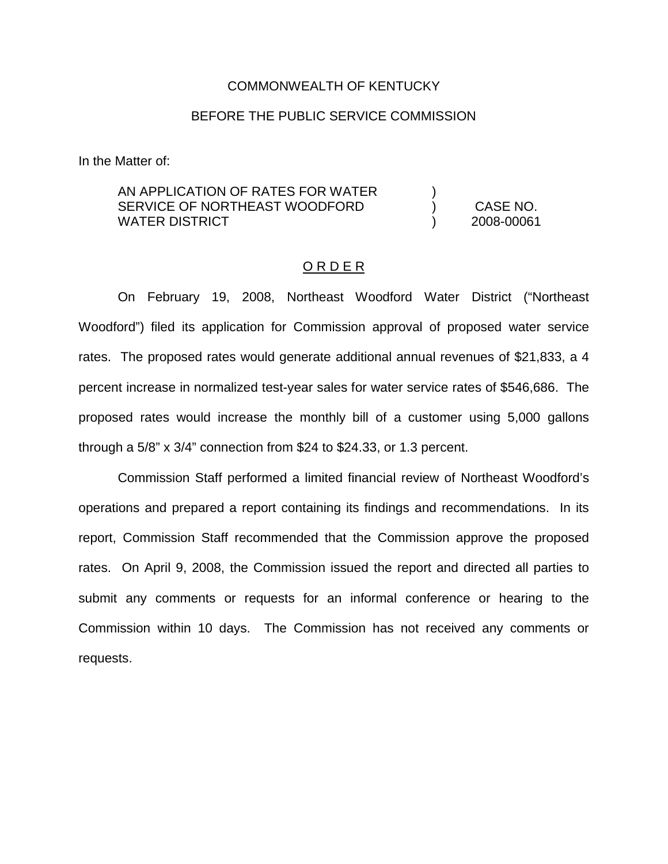### COMMONWEALTH OF KENTUCKY

## BEFORE THE PUBLIC SERVICE COMMISSION

In the Matter of:

# AN APPLICATION OF RATES FOR WATER  $\qquad \qquad$  ) SERVICE OF NORTHEAST WOODFORD (CASE NO. WATER DISTRICT ) 2008-00061

#### O R D E R

On February 19, 2008, Northeast Woodford Water District ("Northeast Woodford") filed its application for Commission approval of proposed water service rates. The proposed rates would generate additional annual revenues of \$21,833, a 4 percent increase in normalized test-year sales for water service rates of \$546,686. The proposed rates would increase the monthly bill of a customer using 5,000 gallons through a 5/8" x 3/4" connection from \$24 to \$24.33, or 1.3 percent.

Commission Staff performed a limited financial review of Northeast Woodford's operations and prepared a report containing its findings and recommendations. In its report, Commission Staff recommended that the Commission approve the proposed rates. On April 9, 2008, the Commission issued the report and directed all parties to submit any comments or requests for an informal conference or hearing to the Commission within 10 days. The Commission has not received any comments or requests.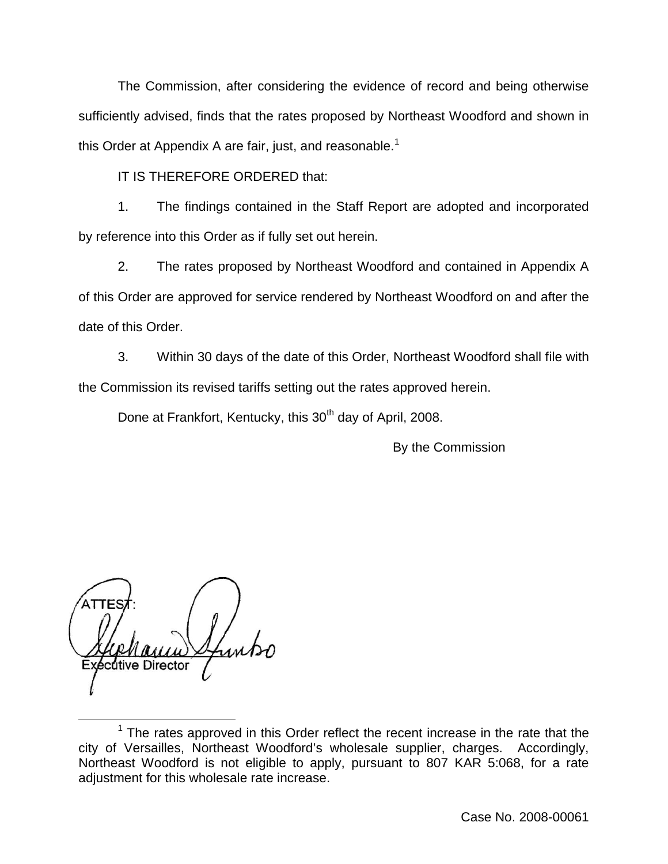The Commission, after considering the evidence of record and being otherwise sufficiently advised, finds that the rates proposed by Northeast Woodford and shown in this Order at Appendix A are fair, just, and reasonable.<sup>1</sup>

IT IS THEREFORE ORDERED that:

1. The findings contained in the Staff Report are adopted and incorporated by reference into this Order as if fully set out herein.

2. The rates proposed by Northeast Woodford and contained in Appendix A of this Order are approved for service rendered by Northeast Woodford on and after the date of this Order.

3. Within 30 days of the date of this Order, Northeast Woodford shall file with the Commission its revised tariffs setting out the rates approved herein.

Done at Frankfort, Kentucky, this 30<sup>th</sup> day of April, 2008.

By the Commission

dtive Director

 $1$  The rates approved in this Order reflect the recent increase in the rate that the city of Versailles, Northeast Woodford's wholesale supplier, charges. Accordingly, Northeast Woodford is not eligible to apply, pursuant to 807 KAR 5:068, for a rate adjustment for this wholesale rate increase.